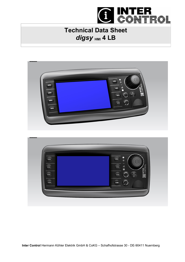

## **Technical Data Sheet** digsy HMI 4 LB

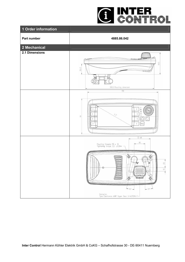

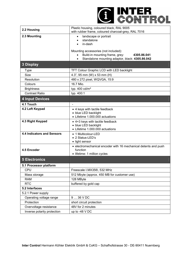

| 2.2 Housing                       | Plastic housing, coloured black, RAL 9005<br>with rubber frame, coloured charcoal-grey, RAL 7016                                                                                                                     |  |  |
|-----------------------------------|----------------------------------------------------------------------------------------------------------------------------------------------------------------------------------------------------------------------|--|--|
| 2.3 Mounting                      | landscape or portrait<br>$\bullet$<br>standalone<br>in-dash<br>Mounting accessories (not included):<br>Build-in mounting frame, grey:<br>4305.86.041<br>$\bullet$<br>Standalone mounting adaptor, black: 4305.86.042 |  |  |
| 3 Display                         |                                                                                                                                                                                                                      |  |  |
| <b>Type</b>                       | TFT Colour Graphic LCD with LED backlight                                                                                                                                                                            |  |  |
| <b>Size</b>                       | 4.3", 95 mm (W) x 53 mm (H)                                                                                                                                                                                          |  |  |
| Resolution                        | 480 x 272 pixel, WQVGA, 15:9                                                                                                                                                                                         |  |  |
| Colours                           | 16.7 Mio.                                                                                                                                                                                                            |  |  |
| <b>Brightness</b>                 | typ. 400 cd/m <sup>2</sup>                                                                                                                                                                                           |  |  |
| <b>Contrast Ratio</b>             | typ. 400:1                                                                                                                                                                                                           |  |  |
| <b>4 Input Devices</b>            |                                                                                                                                                                                                                      |  |  |
| 4.1 Touch                         | $\blacksquare$                                                                                                                                                                                                       |  |  |
| 4.2 Left Keypad                   | • 4 keys with tactile feedback<br>• blue LED backlight<br>• Lifetime 1.000.000 actuations                                                                                                                            |  |  |
| 4.3 Right Keypad                  | • 4+3 keys with tactile feedback<br>• blue LED backlight<br>• Lifetime 1.000.000 actuations                                                                                                                          |  |  |
| <b>4.4 Indicators and Sensors</b> | • 1 Multicolour-LED<br>• 2 Status-LED's<br>• light sensor                                                                                                                                                            |  |  |
| 4.5 Encoder                       | • electromechanical encoder with 16 mechanical detents and push<br>function<br>· lifetime: 1 million cycles                                                                                                          |  |  |
| <b>5 Electronics</b>              |                                                                                                                                                                                                                      |  |  |
| 5.1 Processor platform            |                                                                                                                                                                                                                      |  |  |
| CPU                               | Freescale I.MX35®, 532 MHz                                                                                                                                                                                           |  |  |
| Mass storage                      | 512 Mbyte (approx. 450 MB for customer use)                                                                                                                                                                          |  |  |
| <b>RAM</b>                        | 128 MByte                                                                                                                                                                                                            |  |  |
| <b>RTC</b>                        | buffered by gold cap                                                                                                                                                                                                 |  |  |
| 5.2 Interfaces                    |                                                                                                                                                                                                                      |  |  |
| 5.2.1 Power supply                |                                                                                                                                                                                                                      |  |  |
| Operating voltage range           | 9  36 V DC                                                                                                                                                                                                           |  |  |
| Protection                        | short circuit protection                                                                                                                                                                                             |  |  |
| Overvoltage resistance            | 48V for 2 minutes                                                                                                                                                                                                    |  |  |
| Inverse polarity protection       | up to -48 V DC                                                                                                                                                                                                       |  |  |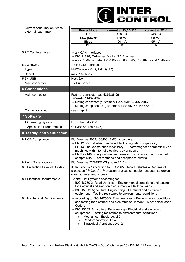

| Current consumption (without      |                                                                                                                                                                                                                                                                                                                                                                                                                          |                                             |                                        |  |  |
|-----------------------------------|--------------------------------------------------------------------------------------------------------------------------------------------------------------------------------------------------------------------------------------------------------------------------------------------------------------------------------------------------------------------------------------------------------------------------|---------------------------------------------|----------------------------------------|--|--|
| external load), max               | <b>Power Mode</b><br>On                                                                                                                                                                                                                                                                                                                                                                                                  | current at 13,5 V DC<br>$\overline{4}30$ mA | current at 27 V<br>$\overline{240}$ mA |  |  |
|                                   | Low-power                                                                                                                                                                                                                                                                                                                                                                                                                | 160 mA                                      | 90 mA                                  |  |  |
|                                   | <b>Sleep</b>                                                                                                                                                                                                                                                                                                                                                                                                             | 90 mA                                       | 55 mA                                  |  |  |
|                                   | Off                                                                                                                                                                                                                                                                                                                                                                                                                      | 0                                           | 0                                      |  |  |
| 5.2.2 Can Interfaces              | $\bullet$ 2 x CAN-Interfaces<br>• ISO 11898, CAN-specification 2.0 B active,<br>• up to 1 Mbit/s (default 250 Kbit/s, 500 Kbit/s, 750 Kbit/s and 1 Mbit/s)                                                                                                                                                                                                                                                               |                                             |                                        |  |  |
| 5.2.3 RS232                       | 1 x RS232-Interface                                                                                                                                                                                                                                                                                                                                                                                                      |                                             |                                        |  |  |
| <b>Type</b>                       | EIA232 (only RxD, TxD, GND)                                                                                                                                                                                                                                                                                                                                                                                              |                                             |                                        |  |  |
| Speed                             | max. 115 Kbps                                                                                                                                                                                                                                                                                                                                                                                                            |                                             |                                        |  |  |
| 5.2.4 USB                         | <b>Host 2.0</b>                                                                                                                                                                                                                                                                                                                                                                                                          |                                             |                                        |  |  |
| Main connector                    | 1 x Full speed                                                                                                                                                                                                                                                                                                                                                                                                           |                                             |                                        |  |  |
| <b>6 Connections</b>              |                                                                                                                                                                                                                                                                                                                                                                                                                          |                                             |                                        |  |  |
| Main connector                    | Part no. connector set: 4305.86.001<br>Tyco-AMP 1437288-6<br>• Mating connector (customer) Tyco-AMP 3-1437290-7<br>• Mating crimp contact (customer) Tyco AMP 3-1447221-4                                                                                                                                                                                                                                                |                                             |                                        |  |  |
| Connector pinout                  | see chap. 9.                                                                                                                                                                                                                                                                                                                                                                                                             |                                             |                                        |  |  |
| <b>7 Software</b>                 |                                                                                                                                                                                                                                                                                                                                                                                                                          |                                             |                                        |  |  |
| 1.1 Operating System              | Linux, kernel 2.6.28                                                                                                                                                                                                                                                                                                                                                                                                     |                                             |                                        |  |  |
| 1.2 Application Programming       | CODESYS-Tools (3.5)                                                                                                                                                                                                                                                                                                                                                                                                      |                                             |                                        |  |  |
| <b>8 Testing and Verification</b> |                                                                                                                                                                                                                                                                                                                                                                                                                          |                                             |                                        |  |  |
| 8.1 CE-Compliance                 | EU Directive 2004/108/EC (EMC) according to<br>• EN 12895: Industrial Trucks - Electromagnetic compatibility<br>• EN 13309: Construction machinery - Electromagnetic compatibility of<br>machines with internal electrical power supply<br>• EN ISO 14982: Agricultural and forestry machinery - Electromagnetic<br>compatibility - Test methods and acceptance criteria                                                 |                                             |                                        |  |  |
| 8.2 e1 - Type approval            | EU Directive 72/245/EWG (1-Jan 2013)                                                                                                                                                                                                                                                                                                                                                                                     |                                             |                                        |  |  |
| 8.3 Protection Level (IP Code)    | IP 6k5 and 6k7 according to ISO 20653: Road Vehicles - Degrees of<br>protection (IP-Code) – Protection of electrical equipment against foreign<br>objects, water and access                                                                                                                                                                                                                                              |                                             |                                        |  |  |
| 8.4 Electrical Requirements       | 12 and 24V-Systems according to:<br>• ISO 16750-2: Road Vehicles - Environmental conditions and testing<br>for electrical and electronic equipment - Electrical loads<br>• ISO 15003: Agricultural Engineering - Electrical and electronic<br>equipment - Testing resistance to environmental conditions                                                                                                                 |                                             |                                        |  |  |
| 8.5 Mechanical Requirements       | • According to ISO 16750-3: Road Vehicles - Environmental conditions<br>and testing for electrical and electronic equipment - Mechanical loads,<br>Code L<br>• ISO 15003: Agricultural Engineering - Electrical and electronic<br>equipment - Testing resistance to environmental conditions<br>Mechanical Shock: Level 2<br>$\circ$<br>Random Vibration: Level 2<br>$\circ$<br>Sinusoidal Vibration: Level 2<br>$\circ$ |                                             |                                        |  |  |